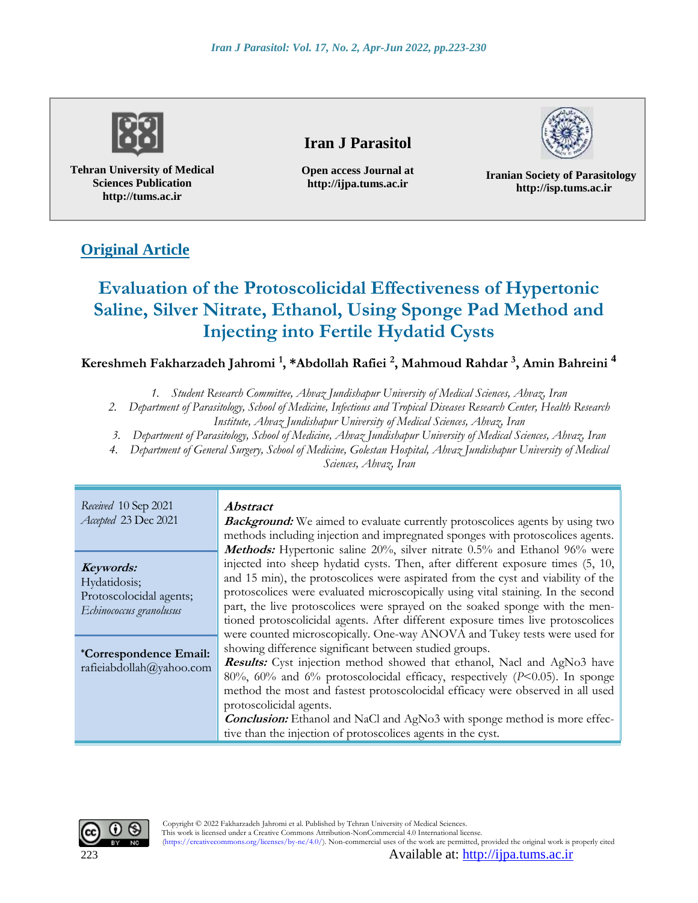

**Tehran University of Medical Sciences Publication http://tums.ac.ir**

# **Iran J Parasitol**

**Open access Journal at http://ijpa.tums.ac.ir**



**Iranian Society of Parasitology http://isp.tums.ac.ir**

# **Original Article**

# **Evaluation of the Protoscolicidal Effectiveness of Hypertonic Saline, Silver Nitrate, Ethanol, Using Sponge Pad Method and Injecting into Fertile Hydatid Cysts**

**Kereshmeh Fakharzadeh Jahromi <sup>1</sup> , \*Abdollah Rafiei <sup>2</sup> , Mahmoud Rahdar <sup>3</sup> , Amin Bahreini <sup>4</sup>**

*1. Student Research Committee, Ahvaz Jundishapur University of Medical Sciences, Ahvaz, Iran* 

*2. Department of Parasitology, School of Medicine, Infectious and Tropical Diseases Research Center, Health Research Institute, Ahvaz Jundishapur University of Medical Sciences, Ahvaz, Iran*

*3. Department of Parasitology, School of Medicine, Ahvaz Jundishapur University of Medical Sciences, Ahvaz, Iran* 

*4. Department of General Surgery, School of Medicine, Golestan Hospital, Ahvaz Jundishapur University of Medical Sciences, Ahvaz, Iran*

| Received 10 Sep 2021<br>Accepted 23 Dec 2021                                    | <i><b>Abstract</b></i><br><b>Background:</b> We aimed to evaluate currently protoscolices agents by using two<br>methods including injection and impregnated sponges with protoscolices agents.<br>Methods: Hypertonic saline 20%, silver nitrate 0.5% and Ethanol 96% were                                                                                                                                                                                                                              |  |  |
|---------------------------------------------------------------------------------|----------------------------------------------------------------------------------------------------------------------------------------------------------------------------------------------------------------------------------------------------------------------------------------------------------------------------------------------------------------------------------------------------------------------------------------------------------------------------------------------------------|--|--|
| Keywords:<br>Hydatidosis;<br>Protoscolocidal agents;<br>Echinococcus granolusus | injected into sheep hydatid cysts. Then, after different exposure times (5, 10,<br>and 15 min), the protoscolices were aspirated from the cyst and viability of the<br>protoscolices were evaluated microscopically using vital staining. In the second<br>part, the live protoscolices were sprayed on the soaked sponge with the men-<br>tioned protoscolicidal agents. After different exposure times live protoscolices<br>were counted microscopically. One-way ANOVA and Tukey tests were used for |  |  |
| <i>*Correspondence Email:</i><br>rafieiabdollah@yahoo.com                       | showing difference significant between studied groups.<br><b>Results:</b> Cyst injection method showed that ethanol, Nacl and AgNo3 have<br>$80\%$ , $60\%$ and $6\%$ protoscolocidal efficacy, respectively (P<0.05). In sponge<br>method the most and fastest protoscolocidal efficacy were observed in all used<br>protoscolicidal agents.<br><b>Conclusion:</b> Ethanol and NaCl and AgNo3 with sponge method is more effec-<br>tive than the injection of protoscolices agents in the cyst.         |  |  |

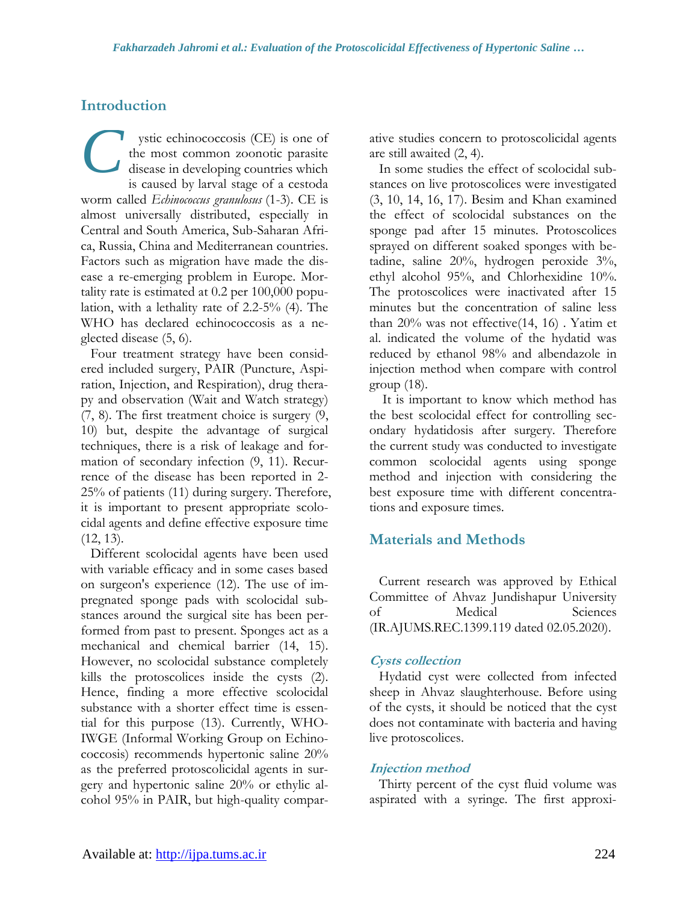### **Introduction**

ystic echinococcosis (CE) is one of the most common zoonotic parasite disease in developing countries which is caused by larval stage of a cestoda worm called *Echinococcus granulosus* (1-3). CE is almost universally distributed, especially in Central and South America, Sub-Saharan Africa, Russia, China and Mediterranean countries. Factors such as migration have made the disease a re-emerging problem in Europe. Mortality rate is estimated at 0.2 per 100,000 population, with a lethality rate of 2.2-5% (4). The WHO has declared echinococcosis as a neglected disease (5, 6). *C*

Four treatment strategy have been considered included surgery, PAIR (Puncture, Aspiration, Injection, and Respiration), drug therapy and observation (Wait and Watch strategy) (7, 8). The first treatment choice is surgery (9, 10) but, despite the advantage of surgical techniques, there is a risk of leakage and formation of secondary infection (9, 11). Recurrence of the disease has been reported in 2- 25% of patients (11) during surgery. Therefore, it is important to present appropriate scolocidal agents and define effective exposure time (12, 13).

Different scolocidal agents have been used with variable efficacy and in some cases based on surgeon's experience (12). The use of impregnated sponge pads with scolocidal substances around the surgical site has been performed from past to present. Sponges act as a mechanical and chemical barrier (14, 15). However, no scolocidal substance completely kills the protoscolices inside the cysts (2). Hence, finding a more effective scolocidal substance with a shorter effect time is essential for this purpose (13). Currently, WHO-IWGE (Informal Working Group on Echinococcosis) recommends hypertonic saline 20% as the preferred protoscolicidal agents in surgery and hypertonic saline 20% or ethylic alcohol 95% in PAIR, but high-quality comparative studies concern to protoscolicidal agents are still awaited (2, 4).

In some studies the effect of scolocidal substances on live protoscolices were investigated (3, 10, 14, 16, 17). Besim and Khan examined the effect of scolocidal substances on the sponge pad after 15 minutes. Protoscolices sprayed on different soaked sponges with betadine, saline 20%, hydrogen peroxide 3%, ethyl alcohol 95%, and Chlorhexidine 10%. The protoscolices were inactivated after 15 minutes but the concentration of saline less than 20% was not effective(14, 16) . Yatim et al. indicated the volume of the hydatid was reduced by ethanol 98% and albendazole in injection method when compare with control group (18).

It is important to know which method has the best scolocidal effect for controlling secondary hydatidosis after surgery. Therefore the current study was conducted to investigate common scolocidal agents using sponge method and injection with considering the best exposure time with different concentrations and exposure times.

### **Materials and Methods**

Current research was approved by Ethical Committee of Ahvaz Jundishapur University of Medical Sciences (IR.AJUMS.REC.1399.119 dated 02.05.2020).

#### **Cysts collection**

Hydatid cyst were collected from infected sheep in Ahvaz slaughterhouse. Before using of the cysts, it should be noticed that the cyst does not contaminate with bacteria and having live protoscolices.

### **Injection method**

Thirty percent of the cyst fluid volume was aspirated with a syringe. The first approxi-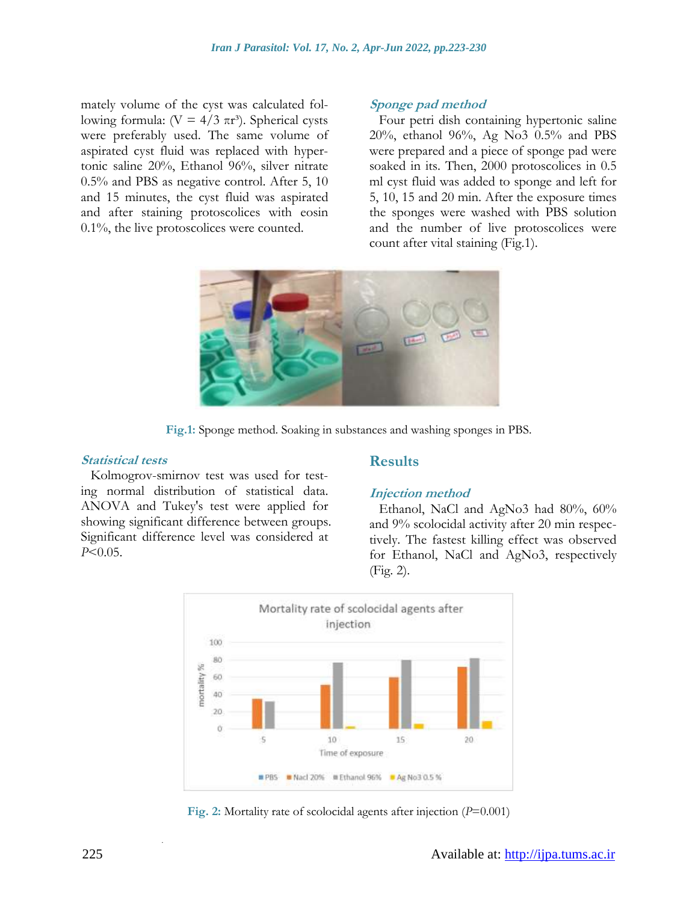mately volume of the cyst was calculated following formula: (V =  $4/3 \pi r^3$ ). Spherical cysts were preferably used. The same volume of aspirated cyst fluid was replaced with hypertonic saline 20%, Ethanol 96%, silver nitrate 0.5% and PBS as negative control. After 5, 10 and 15 minutes, the cyst fluid was aspirated and after staining protoscolices with eosin 0.1%, the live protoscolices were counted.

#### **Sponge pad method**

Four petri dish containing hypertonic saline 20%, ethanol 96%, Ag No3 0.5% and PBS were prepared and a piece of sponge pad were soaked in its. Then, 2000 protoscolices in 0.5 ml cyst fluid was added to sponge and left for 5, 10, 15 and 20 min. After the exposure times the sponges were washed with PBS solution and the number of live protoscolices were count after vital staining (Fig.1).



**Fig.1:** Sponge method. Soaking in substances and washing sponges in PBS.

#### **Statistical tests**

#### **Results**

Kolmogrov-smirnov test was used for testing normal distribution of statistical data. ANOVA and Tukey's test were applied for showing significant difference between groups. Significant difference level was considered at *P*<0.05.

# **Injection method**

Ethanol, NaCl and AgNo3 had 80%, 60% and 9% scolocidal activity after 20 min respectively. The fastest killing effect was observed for Ethanol, NaCl and AgNo3, respectively (Fig. 2).



**Fig. 2:** Mortality rate of scolocidal agents after injection (*P*=0.001)

.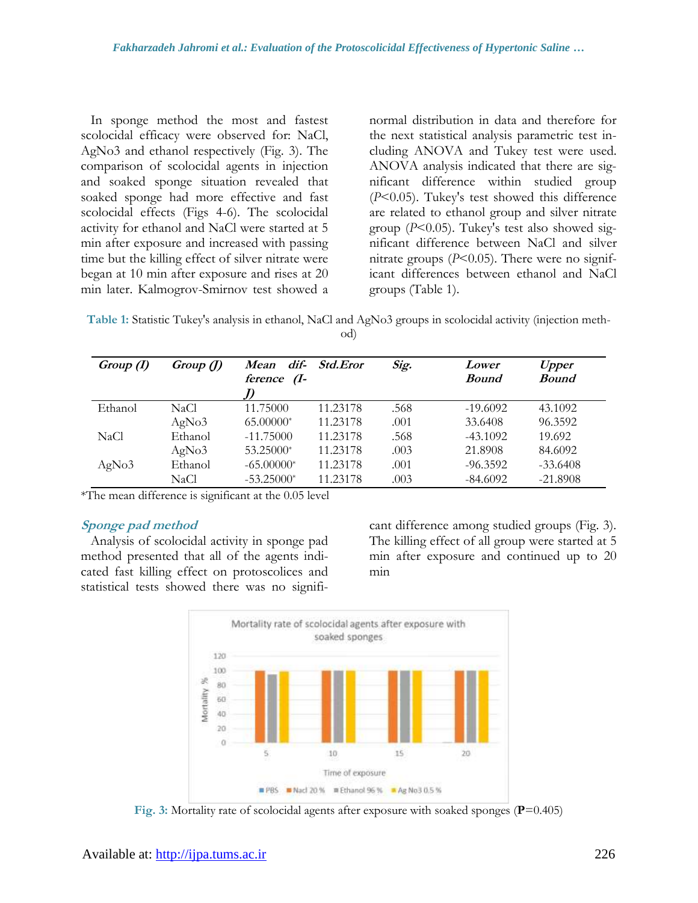In sponge method the most and fastest scolocidal efficacy were observed for: NaCl, AgNo3 and ethanol respectively (Fig. 3). The comparison of scolocidal agents in injection and soaked sponge situation revealed that soaked sponge had more effective and fast scolocidal effects (Figs 4-6). The scolocidal activity for ethanol and NaCl were started at 5 min after exposure and increased with passing time but the killing effect of silver nitrate were began at 10 min after exposure and rises at 20 min later. Kalmogrov-Smirnov test showed a

normal distribution in data and therefore for the next statistical analysis parametric test including ANOVA and Tukey test were used. ANOVA analysis indicated that there are significant difference within studied group (*P*<0.05). Tukey's test showed this difference are related to ethanol group and silver nitrate group (*P*<0.05). Tukey's test also showed significant difference between NaCl and silver nitrate groups  $(P<0.05)$ . There were no significant differences between ethanol and NaCl groups (Table 1).

**Table 1:** Statistic Tukey's analysis in ethanol, NaCl and AgNo3 groups in scolocidal activity (injection method)

| Group(I) | Group(J) | Mean dif-<br>ference (I- | <i>Std.Eror</i> | Sig. | Lower<br><b>Bound</b> | <b>Upper</b><br><b>Bound</b> |
|----------|----------|--------------------------|-----------------|------|-----------------------|------------------------------|
| Ethanol  | NaCl.    | 11.75000                 | 11.23178        | .568 | $-19.6092$            | 43.1092                      |
|          | AgNo3    | 65.00000*                | 11.23178        | .001 | 33.6408               | 96.3592                      |
| NaCl     | Ethanol  | $-11.75000$              | 11.23178        | .568 | $-43.1092$            | 19.692                       |
|          | AgNo3    | 53.25000*                | 11.23178        | .003 | 21.8908               | 84.6092                      |
| AgNo3    | Ethanol  | $-65.00000*$             | 11.23178        | .001 | $-96.3592$            | $-33.6408$                   |
|          | NaCl     | $-53.25000*$             | 11.23178        | .003 | $-84.6092$            | $-21.8908$                   |

\*The mean difference is significant at the 0.05 level

#### **Sponge pad method**

Analysis of scolocidal activity in sponge pad method presented that all of the agents indicated fast killing effect on protoscolices and statistical tests showed there was no significant difference among studied groups (Fig. 3). The killing effect of all group were started at 5 min after exposure and continued up to 20 min



**Fig. 3:** Mortality rate of scolocidal agents after exposure with soaked sponges (**P**=0.405)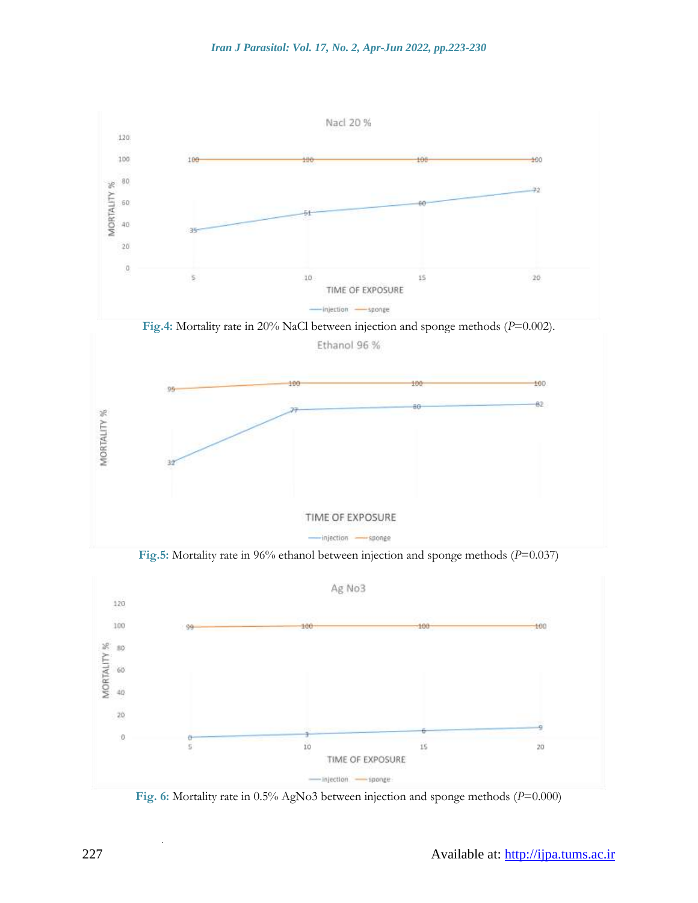

**Fig. 6:** Mortality rate in 0.5% AgNo3 between injection and sponge methods (*P*=0.000)

.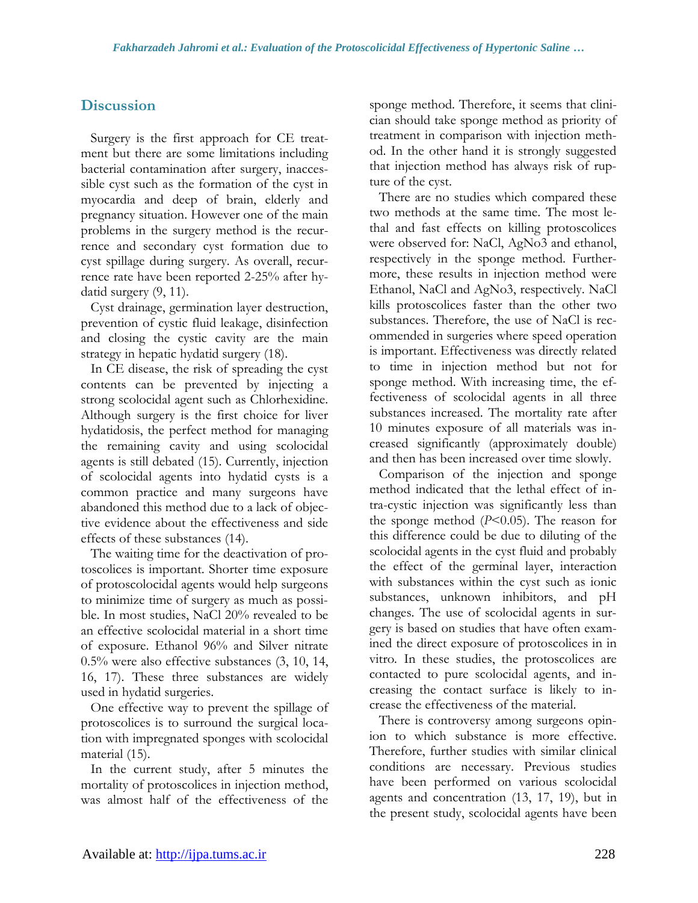## **Discussion**

Surgery is the first approach for CE treatment but there are some limitations including bacterial contamination after surgery, inaccessible cyst such as the formation of the cyst in myocardia and deep of brain, elderly and pregnancy situation. However one of the main problems in the surgery method is the recurrence and secondary cyst formation due to cyst spillage during surgery. As overall, recurrence rate have been reported 2-25% after hydatid surgery (9, 11).

Cyst drainage, germination layer destruction, prevention of cystic fluid leakage, disinfection and closing the cystic cavity are the main strategy in hepatic hydatid surgery (18).

In CE disease, the risk of spreading the cyst contents can be prevented by injecting a strong scolocidal agent such as Chlorhexidine. Although surgery is the first choice for liver hydatidosis, the perfect method for managing the remaining cavity and using scolocidal agents is still debated (15). Currently, injection of scolocidal agents into hydatid cysts is a common practice and many surgeons have abandoned this method due to a lack of objective evidence about the effectiveness and side effects of these substances (14).

The waiting time for the deactivation of protoscolices is important. Shorter time exposure of protoscolocidal agents would help surgeons to minimize time of surgery as much as possible. In most studies, NaCl 20% revealed to be an effective scolocidal material in a short time of exposure. Ethanol 96% and Silver nitrate 0.5% were also effective substances (3, 10, 14, 16, 17). These three substances are widely used in hydatid surgeries.

One effective way to prevent the spillage of protoscolices is to surround the surgical location with impregnated sponges with scolocidal material (15).

In the current study, after 5 minutes the mortality of protoscolices in injection method, was almost half of the effectiveness of the sponge method. Therefore, it seems that clinician should take sponge method as priority of treatment in comparison with injection method. In the other hand it is strongly suggested that injection method has always risk of rupture of the cyst.

There are no studies which compared these two methods at the same time. The most lethal and fast effects on killing protoscolices were observed for: NaCl, AgNo3 and ethanol, respectively in the sponge method. Furthermore, these results in injection method were Ethanol, NaCl and AgNo3, respectively. NaCl kills protoscolices faster than the other two substances. Therefore, the use of NaCl is recommended in surgeries where speed operation is important. Effectiveness was directly related to time in injection method but not for sponge method. With increasing time, the effectiveness of scolocidal agents in all three substances increased. The mortality rate after 10 minutes exposure of all materials was increased significantly (approximately double) and then has been increased over time slowly.

Comparison of the injection and sponge method indicated that the lethal effect of intra-cystic injection was significantly less than the sponge method (*P*<0.05). The reason for this difference could be due to diluting of the scolocidal agents in the cyst fluid and probably the effect of the germinal layer, interaction with substances within the cyst such as ionic substances, unknown inhibitors, and pH changes. The use of scolocidal agents in surgery is based on studies that have often examined the direct exposure of protoscolices in in vitro*.* In these studies, the protoscolices are contacted to pure scolocidal agents, and increasing the contact surface is likely to increase the effectiveness of the material.

There is controversy among surgeons opinion to which substance is more effective. Therefore, further studies with similar clinical conditions are necessary. Previous studies have been performed on various scolocidal agents and concentration (13, 17, 19), but in the present study, scolocidal agents have been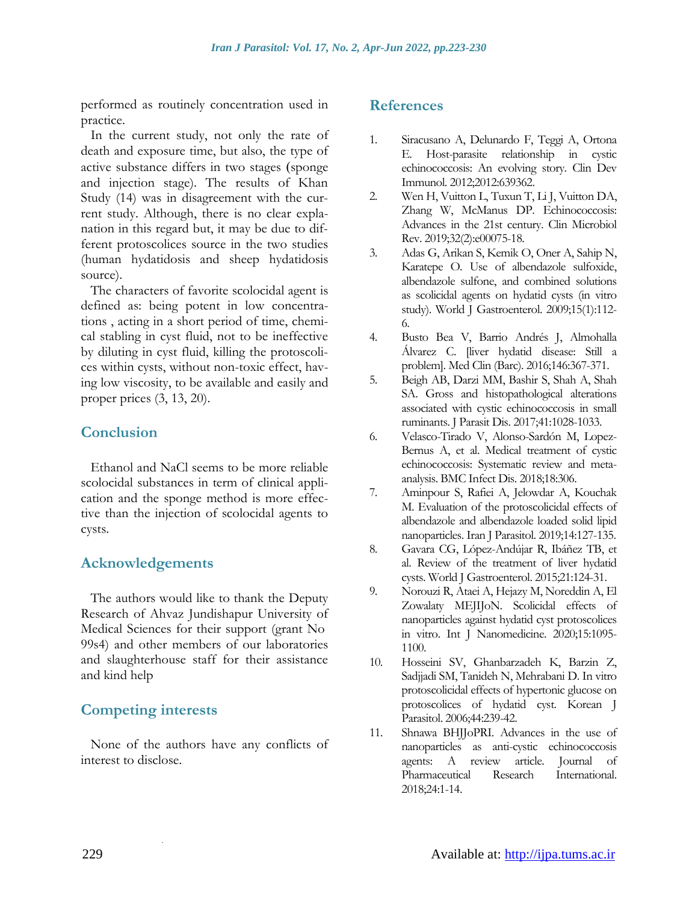performed as routinely concentration used in practice.

In the current study, not only the rate of death and exposure time, but also, the type of active substance differs in two stages (sponge and injection stage). The results of Khan Study (14) was in disagreement with the current study. Although, there is no clear explanation in this regard but, it may be due to different protoscolices source in the two studies (human hydatidosis and sheep hydatidosis source).

The characters of favorite scolocidal agent is defined as: being potent in low concentrations , acting in a short period of time, chemical stabling in cyst fluid, not to be ineffective by diluting in cyst fluid, killing the protoscolices within cysts, without non-toxic effect, having low viscosity, to be available and easily and proper prices (3, 13, 20).

### **Conclusion**

Ethanol and NaCl seems to be more reliable scolocidal substances in term of clinical application and the sponge method is more effective than the injection of scolocidal agents to cysts.

### **Acknowledgements**

The authors would like to thank the Deputy Research of Ahvaz Jundishapur University of Medical Sciences for their support (grant No 99s4) and other members of our laboratories and slaughterhouse staff for their assistance and kind help

### **Competing interests**

.

None of the authors have any conflicts of interest to disclose.

### **References**

- 1. Siracusano A, Delunardo F, Teggi A, Ortona E. Host-parasite relationship in cystic echinococcosis: An evolving story. Clin Dev Immunol. 2012;2012:639362.
- 2. Wen H, Vuitton L, Tuxun T, Li J, Vuitton DA, Zhang W, McManus DP. Echinococcosis: Advances in the 21st century. Clin Microbiol Rev. 2019;32(2):e00075-18.
- 3. Adas G, Arikan S, Kemik O, Oner A, Sahip N, Karatepe O. Use of albendazole sulfoxide, albendazole sulfone, and combined solutions as scolicidal agents on hydatid cysts (in vitro study). World J Gastroenterol. 2009;15(1):112- 6.
- 4. Busto Bea V, Barrio Andrés J, Almohalla Álvarez C. [liver hydatid disease: Still a problem]. Med Clin (Barc). 2016;146:367-371.
- 5. Beigh AB, Darzi MM, Bashir S, Shah A, Shah SA. Gross and histopathological alterations associated with cystic echinococcosis in small ruminants. J Parasit Dis. 2017;41:1028-1033.
- 6. Velasco-Tirado V, Alonso-Sardón M, Lopez-Bernus A, et al. Medical treatment of cystic echinococcosis: Systematic review and metaanalysis. BMC Infect Dis. 2018;18:306.
- 7. Aminpour S, Rafiei A, Jelowdar A, Kouchak M. Evaluation of the protoscolicidal effects of albendazole and albendazole loaded solid lipid nanoparticles. Iran J Parasitol. 2019;14:127-135.
- 8. Gavara CG, López-Andújar R, Ibáñez TB, et al. Review of the treatment of liver hydatid cysts. World J Gastroenterol. 2015;21:124-31.
- 9. Norouzi R, Ataei A, Hejazy M, Noreddin A, El Zowalaty MEJIJoN. Scolicidal effects of nanoparticles against hydatid cyst protoscolices in vitro. Int J Nanomedicine. 2020;15:1095- 1100.
- 10. Hosseini SV, Ghanbarzadeh K, Barzin Z, Sadjjadi SM, Tanideh N, Mehrabani D. In vitro protoscolicidal effects of hypertonic glucose on protoscolices of hydatid cyst. Korean J Parasitol. 2006;44:239-42.
- 11. Shnawa BHJJoPRI. Advances in the use of nanoparticles as anti-cystic echinococcosis agents: A review article. Journal of Pharmaceutical Research International. 2018;24:1-14.